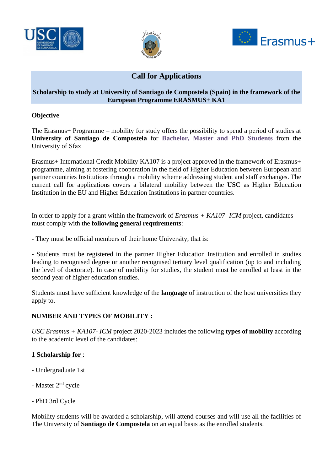





# **Call for Applications**

## **Scholarship to study at University of Santiago de Compostela (Spain) in the framework of the European Programme ERASMUS+ KA1**

## **Objective**

The Erasmus+ Programme – mobility for study offers the possibility to spend a period of studies at **University of Santiago de Compostela** for **Bachelor, Master and PhD Students** from the University of Sfax

Erasmus+ International Credit Mobility KA107 is a project approved in the framework of Erasmus+ programme, aiming at fostering cooperation in the field of Higher Education between European and partner countries Institutions through a mobility scheme addressing student and staff exchanges. The current call for applications covers a bilateral mobility between the **USC** as Higher Education Institution in the EU and Higher Education Institutions in partner countries.

In order to apply for a grant within the framework of *Erasmus + KA107- ICM* project, candidates must comply with the **following general requirements**:

- They must be official members of their home University, that is:

**-** Students must be registered in the partner Higher Education Institution and enrolled in studies leading to recognised degree or another recognised tertiary level qualification (up to and including the level of doctorate). In case of mobility for studies, the student must be enrolled at least in the second year of higher education studies.

Students must have sufficient knowledge of the **language** of instruction of the host universities they apply to.

## **NUMBER AND TYPES OF MOBILITY :**

*USC Erasmus + KA107- ICM* project 2020-2023 includes the following **types of mobility** according to the academic level of the candidates:

## **1 Scholarship for** :

- Undergraduate 1st
- Master 2nd cycle
- PhD 3rd Cycle

Mobility students will be awarded a scholarship, will attend courses and will use all the facilities of The University of **Santiago de Compostela** on an equal basis as the enrolled students.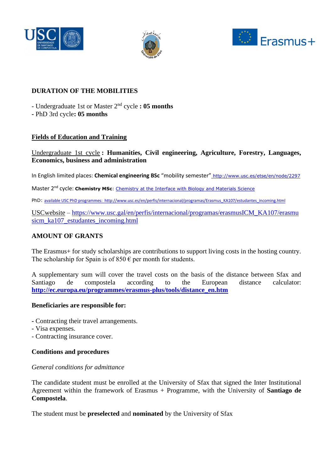





## **DURATION OF THE MOBILITIES**

- Undergraduate 1st or Master 2nd cycle **: 05 months** 

**-** PhD 3rd cycle**: 05 months** 

## **Fields of Education and Training**

#### Undergraduate 1st cycle **: Humanities, Civil engineering, Agriculture, Forestry, Languages, Economics, business and administration**

In English limited places: **Chemical engineering BSc** "mobility semester" <http://www.usc.es/etse/en/node/2297>

Master 2<sup>nd</sup> cycle: Chemistry MSc: Chemistry at the Interface with Biology and Materials Science

PhD: [available USC PhD programmes:](file:///G:/PC%20Fatma/Bureau/D/Erasmus+%20KA1/KA1/Santiago/2020-2021-S2/available%20USC%20PhD%20programmes:%20 ) [http://www.usc.es/en/perfis/internacional/programas/Erasmus\\_KA107/estudantes\\_incoming.html](http://www.usc.es/en/perfis/internacional/programas/Erasmus_KA107/estudantes_incoming.html)

USCwebsite – [https://www.usc.gal/en/perfis/internacional/programas/erasmusICM\\_KA107/erasmu](https://www.usc.gal/en/perfis/internacional/programas/erasmusICM_KA107/erasmusicm_ka107_estudantes_incoming.html) [sicm\\_ka107\\_estudantes\\_incoming.html](https://www.usc.gal/en/perfis/internacional/programas/erasmusICM_KA107/erasmusicm_ka107_estudantes_incoming.html)

#### **AMOUNT OF GRANTS**

The Erasmus+ for study scholarships are contributions to support living costs in the hosting country. The scholarship for Spain is of  $850 \text{ } \infty$  per month for students.

A supplementary sum will cover the travel costs on the basis of the distance between Sfax and Santiago de compostela according to the European distance calculator: **[http://ec.europa.eu/programmes/erasmus-plus/tools/distance\\_en.htm](http://ec.europa.eu/programmes/erasmus-plus/tools/distance_en.htm)**

#### **Beneficiaries are responsible for:**

- **-** Contracting their travel arrangements.
- Visa expenses.
- Contracting insurance cover.

#### **Conditions and procedures**

#### *General conditions for admittance*

The candidate student must be enrolled at the University of Sfax that signed the Inter Institutional Agreement within the framework of Erasmus + Programme, with the University of **Santiago de Compostela**.

The student must be **preselected** and **nominated** by the University of Sfax